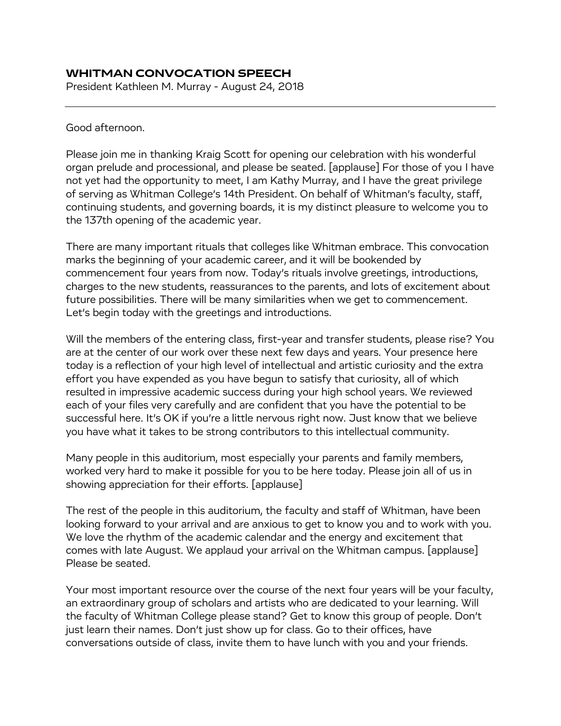## **WHITMAN CONVOCATION SPEECH**

President Kathleen M. Murray - August 24, 2018

## Good afternoon.

Please join me in thanking Kraig Scott for opening our celebration with his wonderful organ prelude and processional, and please be seated. [applause] For those of you I have not yet had the opportunity to meet, I am Kathy Murray, and I have the great privilege of serving as Whitman College's 14th President. On behalf of Whitman's faculty, staff, continuing students, and governing boards, it is my distinct pleasure to welcome you to the 137th opening of the academic year.

There are many important rituals that colleges like Whitman embrace. This convocation marks the beginning of your academic career, and it will be bookended by commencement four years from now. Today's rituals involve greetings, introductions, charges to the new students, reassurances to the parents, and lots of excitement about future possibilities. There will be many similarities when we get to commencement. Let's begin today with the greetings and introductions.

Will the members of the entering class, first-year and transfer students, please rise? You are at the center of our work over these next few days and years. Your presence here today is a reflection of your high level of intellectual and artistic curiosity and the extra effort you have expended as you have begun to satisfy that curiosity, all of which resulted in impressive academic success during your high school years. We reviewed each of your files very carefully and are confident that you have the potential to be successful here. It's OK if you're a little nervous right now. Just know that we believe you have what it takes to be strong contributors to this intellectual community.

Many people in this auditorium, most especially your parents and family members, worked very hard to make it possible for you to be here today. Please join all of us in showing appreciation for their efforts. [applause]

The rest of the people in this auditorium, the faculty and staff of Whitman, have been looking forward to your arrival and are anxious to get to know you and to work with you. We love the rhythm of the academic calendar and the energy and excitement that comes with late August. We applaud your arrival on the Whitman campus. [applause] Please be seated.

Your most important resource over the course of the next four years will be your faculty, an extraordinary group of scholars and artists who are dedicated to your learning. Will the faculty of Whitman College please stand? Get to know this group of people. Don't just learn their names. Don't just show up for class. Go to their offices, have conversations outside of class, invite them to have lunch with you and your friends.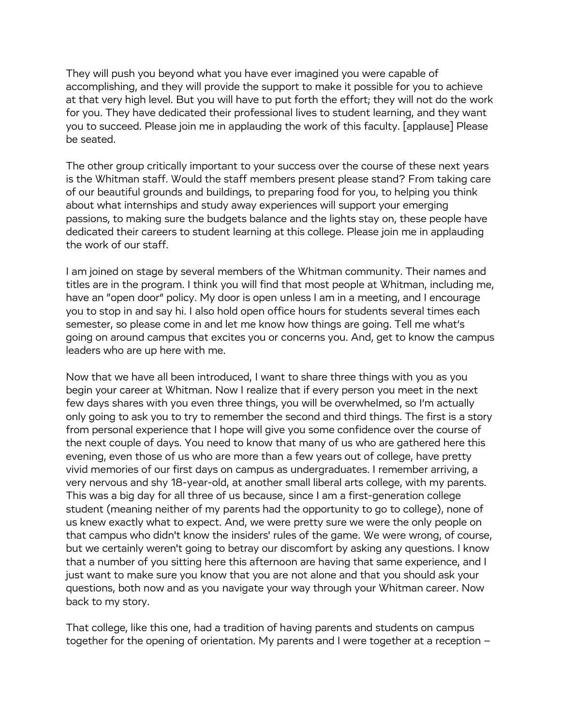They will push you beyond what you have ever imagined you were capable of accomplishing, and they will provide the support to make it possible for you to achieve at that very high level. But you will have to put forth the effort; they will not do the work for you. They have dedicated their professional lives to student learning, and they want you to succeed. Please join me in applauding the work of this faculty. [applause] Please be seated.

The other group critically important to your success over the course of these next years is the Whitman staff. Would the staff members present please stand? From taking care of our beautiful grounds and buildings, to preparing food for you, to helping you think about what internships and study away experiences will support your emerging passions, to making sure the budgets balance and the lights stay on, these people have dedicated their careers to student learning at this college. Please join me in applauding the work of our staff.

I am joined on stage by several members of the Whitman community. Their names and titles are in the program. I think you will find that most people at Whitman, including me, have an "open door" policy. My door is open unless I am in a meeting, and I encourage you to stop in and say hi. I also hold open office hours for students several times each semester, so please come in and let me know how things are going. Tell me what's going on around campus that excites you or concerns you. And, get to know the campus leaders who are up here with me.

Now that we have all been introduced, I want to share three things with you as you begin your career at Whitman. Now I realize that if every person you meet in the next few days shares with you even three things, you will be overwhelmed, so I'm actually only going to ask you to try to remember the second and third things. The first is a story from personal experience that I hope will give you some confidence over the course of the next couple of days. You need to know that many of us who are gathered here this evening, even those of us who are more than a few years out of college, have pretty vivid memories of our first days on campus as undergraduates. I remember arriving, a very nervous and shy 18-year-old, at another small liberal arts college, with my parents. This was a big day for all three of us because, since I am a first-generation college student (meaning neither of my parents had the opportunity to go to college), none of us knew exactly what to expect. And, we were pretty sure we were the only people on that campus who didn't know the insiders' rules of the game. We were wrong, of course, but we certainly weren't going to betray our discomfort by asking any questions. I know that a number of you sitting here this afternoon are having that same experience, and I just want to make sure you know that you are not alone and that you should ask your questions, both now and as you navigate your way through your Whitman career. Now back to my story.

That college, like this one, had a tradition of having parents and students on campus together for the opening of orientation. My parents and I were together at a reception –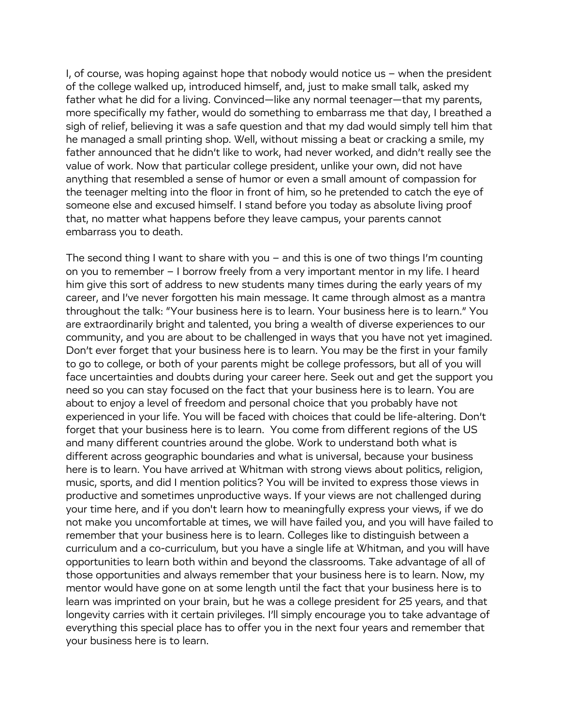I, of course, was hoping against hope that nobody would notice us – when the president of the college walked up, introduced himself, and, just to make small talk, asked my father what he did for a living. Convinced—like any normal teenager—that my parents, more specifically my father, would do something to embarrass me that day, I breathed a sigh of relief, believing it was a safe question and that my dad would simply tell him that he managed a small printing shop. Well, without missing a beat or cracking a smile, my father announced that he didn't like to work, had never worked, and didn't really see the value of work. Now that particular college president, unlike your own, did not have anything that resembled a sense of humor or even a small amount of compassion for the teenager melting into the floor in front of him, so he pretended to catch the eye of someone else and excused himself. I stand before you today as absolute living proof that, no matter what happens before they leave campus, your parents cannot embarrass you to death.

The second thing I want to share with you – and this is one of two things I'm counting on you to remember – I borrow freely from a very important mentor in my life. I heard him give this sort of address to new students many times during the early years of my career, and I've never forgotten his main message. It came through almost as a mantra throughout the talk: "Your business here is to learn. Your business here is to learn." You are extraordinarily bright and talented, you bring a wealth of diverse experiences to our community, and you are about to be challenged in ways that you have not yet imagined. Don't ever forget that your business here is to learn. You may be the first in your family to go to college, or both of your parents might be college professors, but all of you will face uncertainties and doubts during your career here. Seek out and get the support you need so you can stay focused on the fact that your business here is to learn. You are about to enjoy a level of freedom and personal choice that you probably have not experienced in your life. You will be faced with choices that could be life-altering. Don't forget that your business here is to learn. You come from different regions of the US and many different countries around the globe. Work to understand both what is different across geographic boundaries and what is universal, because your business here is to learn. You have arrived at Whitman with strong views about politics, religion, music, sports, and did I mention politics? You will be invited to express those views in productive and sometimes unproductive ways. If your views are not challenged during your time here, and if you don't learn how to meaningfully express your views, if we do not make you uncomfortable at times, we will have failed you, and you will have failed to remember that your business here is to learn. Colleges like to distinguish between a curriculum and a co-curriculum, but you have a single life at Whitman, and you will have opportunities to learn both within and beyond the classrooms. Take advantage of all of those opportunities and always remember that your business here is to learn. Now, my mentor would have gone on at some length until the fact that your business here is to learn was imprinted on your brain, but he was a college president for 25 years, and that longevity carries with it certain privileges. I'll simply encourage you to take advantage of everything this special place has to offer you in the next four years and remember that your business here is to learn.